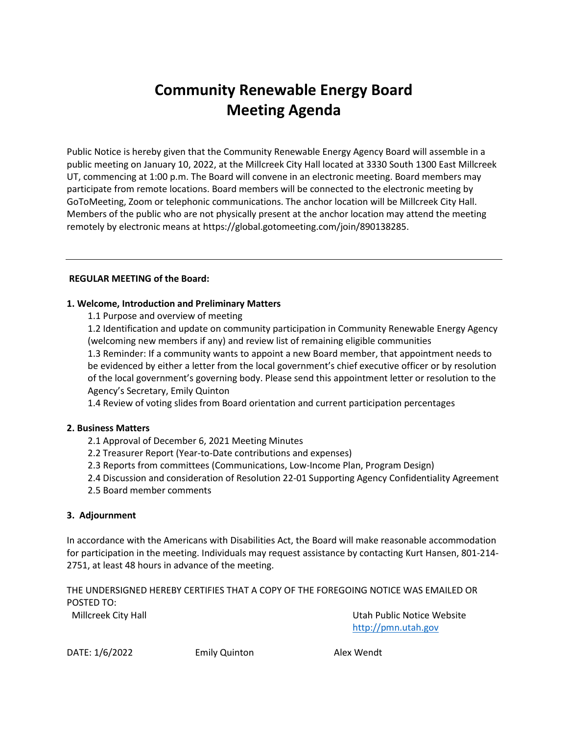# **Community Renewable Energy Board Meeting Agenda**

Public Notice is hereby given that the Community Renewable Energy Agency Board will assemble in a public meeting on January 10, 2022, at the Millcreek City Hall located at 3330 South 1300 East Millcreek UT, commencing at 1:00 p.m. The Board will convene in an electronic meeting. Board members may participate from remote locations. Board members will be connected to the electronic meeting by GoToMeeting, Zoom or telephonic communications. The anchor location will be Millcreek City Hall. Members of the public who are not physically present at the anchor location may attend the meeting remotely by electronic means at https://global.gotomeeting.com/join/890138285.

## **REGULAR MEETING of the Board:**

## **1. Welcome, Introduction and Preliminary Matters**

1.1 Purpose and overview of meeting

1.2 Identification and update on community participation in Community Renewable Energy Agency (welcoming new members if any) and review list of remaining eligible communities

1.3 Reminder: If a community wants to appoint a new Board member, that appointment needs to be evidenced by either a letter from the local government's chief executive officer or by resolution of the local government's governing body. Please send this appointment letter or resolution to the Agency's Secretary, Emily Quinton

1.4 Review of voting slides from Board orientation and current participation percentages

## **2. Business Matters**

- 2.1 Approval of December 6, 2021 Meeting Minutes
- 2.2 Treasurer Report (Year-to-Date contributions and expenses)
- 2.3 Reports from committees (Communications, Low-Income Plan, Program Design)
- 2.4 Discussion and consideration of Resolution 22-01 Supporting Agency Confidentiality Agreement 2.5 Board member comments

## **3. Adjournment**

In accordance with the Americans with Disabilities Act, the Board will make reasonable accommodation for participation in the meeting. Individuals may request assistance by contacting Kurt Hansen, 801-214- 2751, at least 48 hours in advance of the meeting.

THE UNDERSIGNED HEREBY CERTIFIES THAT A COPY OF THE FOREGOING NOTICE WAS EMAILED OR POSTED TO:

Millcreek City Hall Utah Public Notice Website [http://pmn.utah.gov](http://pmn.utah.gov/)

DATE: 1/6/2022 Emily Quinton Alex Wendt